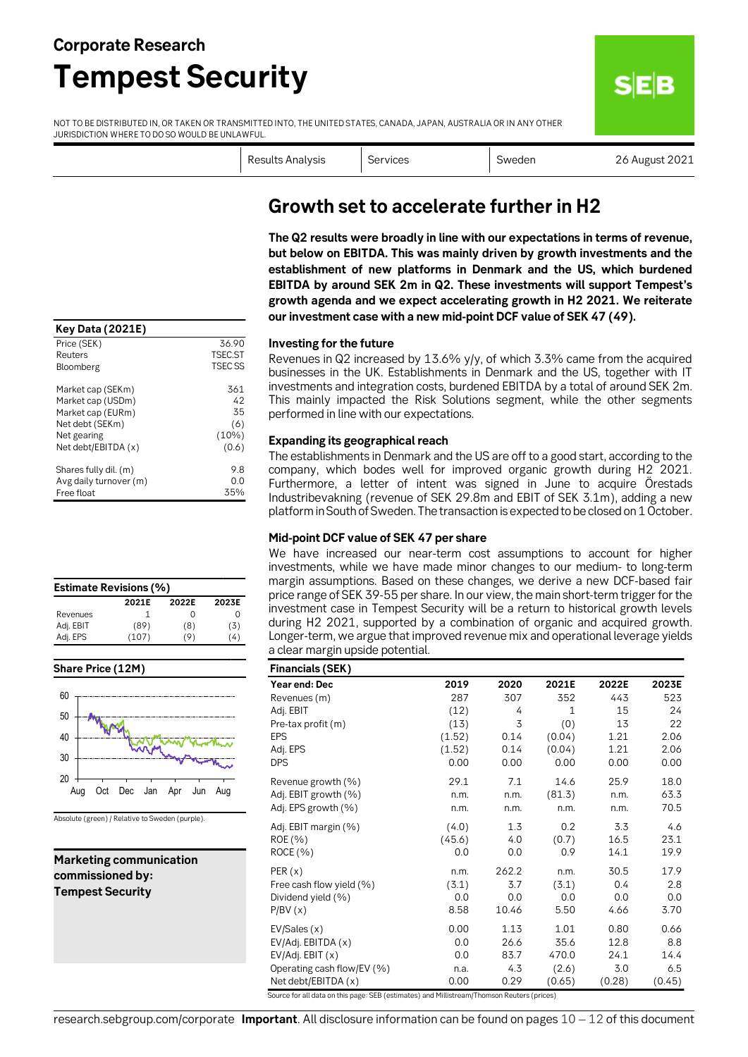## **Corporate Research Tempest Security**

NOT TO BE DISTRIBUTED IN, OR TAKEN OR TRANSMITTED INTO, THE UNITED STATES, CANADA, JAPAN, AUSTRALIA OR IN ANY OTHER JURISDICTION WHERE TO DO SO WOULD BE UNLAWFUL.

| Results Analysis |  |
|------------------|--|
|                  |  |

Services Services Superintenden Sweden 26 August 2021

**SEB** 

| <b>Key Data (2021E)</b> |                    |
|-------------------------|--------------------|
| Price (SEK)             | 36.90              |
| Reuters                 | <b>TSEC.ST</b>     |
| Bloomberg               | TSEC <sub>SS</sub> |
| Market cap (SEKm)       | 361                |
| Market cap (USDm)       | 42                 |
| Market cap (EURm)       | 35                 |
| Net debt (SEKm)         | (6)                |
| Net gearing             | $(10\%)$           |
| Net debt/EBITDA (x)     | (0.6)              |
| Shares fully dil. (m)   | 9.8                |
| Avg daily turnover (m)  | 0.0                |
| Free float              | 35%                |

| <b>Estimate Revisions (%)</b> |       |                  |          |  |  |  |  |  |  |
|-------------------------------|-------|------------------|----------|--|--|--|--|--|--|
|                               | 2021E | 2022E            | 2023E    |  |  |  |  |  |  |
| Revenues                      |       | $\left( \right)$ |          |  |  |  |  |  |  |
| Adj. EBIT                     | (89)  | (8)              | (3)      |  |  |  |  |  |  |
| Adj. EPS                      | (107) | ۰Ο)              | $^{(4)}$ |  |  |  |  |  |  |





Absolute (green) / Relative to Sweden (purple).

#### **Marketing communication commissioned by: Tempest Security**

### **Growth set to accelerate further in H2**

**The Q2 results were broadly in line with our expectations in terms of revenue, but below on EBITDA. This was mainly driven by growth investments and the establishment of new platforms in Denmark and the US, which burdened EBITDA by around SEK 2m in Q2. These investments will support Tempest's growth agenda and we expect accelerating growth in H2 2021. We reiterate our investment case with a new mid-point DCF value of SEK 47 (49).** 

#### **Investing for the future**

Revenues in Q2 increased by 13.6% y/y, of which 3.3% came from the acquired businesses in the UK. Establishments in Denmark and the US, together with IT investments and integration costs, burdened EBITDA by a total of around SEK 2m. This mainly impacted the Risk Solutions segment, while the other segments performed in line with our expectations.

#### **Expanding its geographical reach**

The establishments in Denmark and the US are off to a good start, according to the company, which bodes well for improved organic growth during H2 2021. Furthermore, a letter of intent was signed in June to acquire Örestads Industribevakning (revenue of SEK 29.8m and EBIT of SEK 3.1m), adding a new platform in South of Sweden. The transaction is expected to be closed on 1 October.

#### **Mid-point DCF value of SEK 47 per share**

We have increased our near-term cost assumptions to account for higher investments, while we have made minor changes to our medium- to long-term margin assumptions. Based on these changes, we derive a new DCF-based fair price range of SEK 39-55 per share. In our view, the main short-term trigger for the investment case in Tempest Security will be a return to historical growth levels during H2 2021, supported by a combination of organic and acquired growth. Longer-term, we argue that improved revenue mix and operational leverage yields a clear margin upside potential.

| <b>Financials (SEK)</b>    |        |       |              |        |        |
|----------------------------|--------|-------|--------------|--------|--------|
| Year end: Dec              | 2019   | 2020  | 2021E        | 2022E  | 2023E  |
| Revenues (m)               | 287    | 307   | 352          | 443    | 523    |
| Adj. EBIT                  | (12)   | 4     | $\mathbf{1}$ | 15     | 24     |
| Pre-tax profit (m)         | (13)   | 3     | (0)          | 13     | 22     |
| <b>EPS</b>                 | (1.52) | 0.14  | (0.04)       | 1.21   | 2.06   |
| Adj. EPS                   | (1.52) | 0.14  | (0.04)       | 1.21   | 2.06   |
| <b>DPS</b>                 | 0.00   | 0.00  | 0.00         | 0.00   | 0.00   |
| Revenue growth (%)         | 29.1   | 7.1   | 14.6         | 25.9   | 18.0   |
| Adj. EBIT growth (%)       | n.m.   | n.m.  | (81.3)       | n.m.   | 63.3   |
| Adj. EPS growth (%)        | n.m.   | n.m.  | n.m.         | n.m.   | 70.5   |
| Adj. EBIT margin (%)       | (4.0)  | 1.3   | 0.2          | 3.3    | 4.6    |
| ROE (%)                    | (45.6) | 4.0   | (0.7)        | 16.5   | 23.1   |
| ROCE (%)                   | 0.0    | 0.0   | 0.9          | 14.1   | 19.9   |
| PER(x)                     | n.m.   | 262.2 | n.m.         | 30.5   | 17.9   |
| Free cash flow yield (%)   | (3.1)  | 3.7   | (3.1)        | 0.4    | 2.8    |
| Dividend yield (%)         | 0.0    | 0.0   | 0.0          | 0.0    | 0.0    |
| P/BV(x)                    | 8.58   | 10.46 | 5.50         | 4.66   | 3.70   |
| EV/Sales(x)                | 0.00   | 1.13  | 1.01         | 0.80   | 0.66   |
| EV/Adj. EBITDA (x)         | 0.0    | 26.6  | 35.6         | 12.8   | 8.8    |
| EV/Adj. EBIT (x)           | 0.0    | 83.7  | 470.0        | 24.1   | 14.4   |
| Operating cash flow/EV (%) | n.a.   | 4.3   | (2.6)        | 3.0    | 6.5    |
| Net debt/EBITDA (x)        | 0.00   | 0.29  | (0.65)       | (0.28) | (0.45) |

Source for all data on this page: SEB (estimates) and Millistream/Thomson Reuters (prices)

research.sebgroup.com/corporate **Important**. All disclosure information can be found on pages 10 – 12 of this document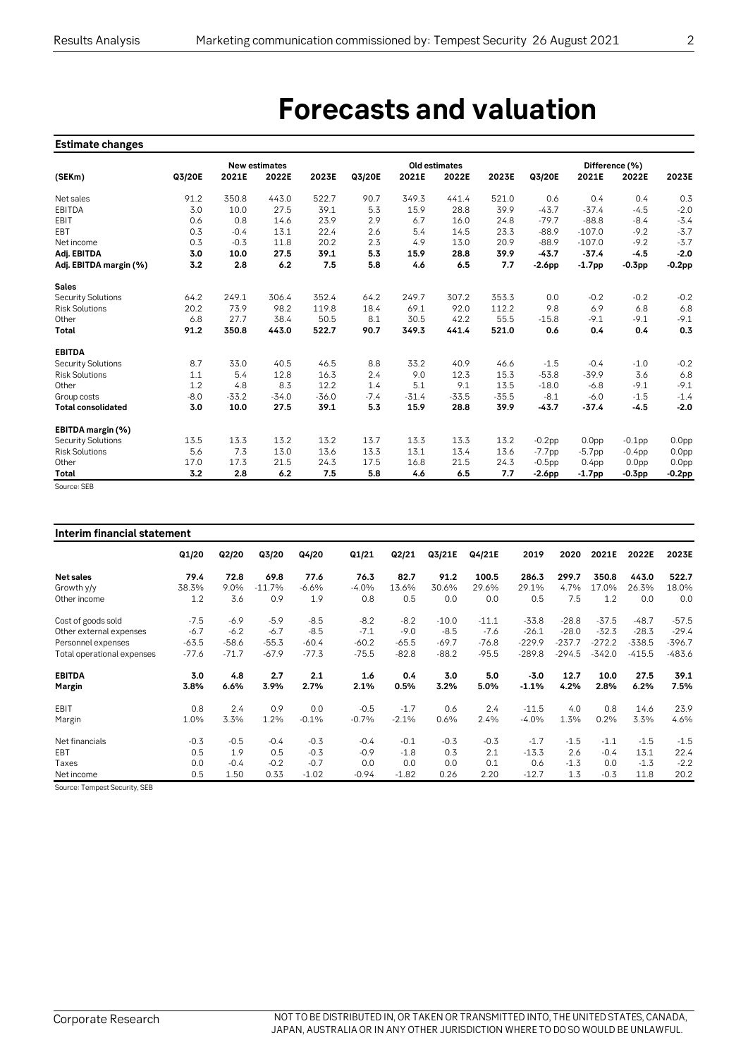## **Forecasts and valuation**

#### **Estimate changes**

|                           |        |         | <b>New estimates</b> |         |        |         | Old estimates |         | Difference (%) |                   |                   |                   |  |
|---------------------------|--------|---------|----------------------|---------|--------|---------|---------------|---------|----------------|-------------------|-------------------|-------------------|--|
| (SEKm)                    | Q3/20E | 2021E   | 2022E                | 2023E   | Q3/20E | 2021E   | 2022E         | 2023E   | Q3/20E         | 2021E             | 2022E             | 2023E             |  |
| Net sales                 | 91.2   | 350.8   | 443.0                | 522.7   | 90.7   | 349.3   | 441.4         | 521.0   | 0.6            | 0.4               | 0.4               | 0.3               |  |
| EBITDA                    | 3.0    | 10.0    | 27.5                 | 39.1    | 5.3    | 15.9    | 28.8          | 39.9    | $-43.7$        | $-37.4$           | $-4.5$            | $-2.0$            |  |
| EBIT                      | 0.6    | 0.8     | 14.6                 | 23.9    | 2.9    | 6.7     | 16.0          | 24.8    | $-79.7$        | $-88.8$           | $-8.4$            | $-3.4$            |  |
| EBT                       | 0.3    | $-0.4$  | 13.1                 | 22.4    | 2.6    | 5.4     | 14.5          | 23.3    | $-88.9$        | $-107.0$          | $-9.2$            | $-3.7$            |  |
| Net income                | 0.3    | $-0.3$  | 11.8                 | 20.2    | 2.3    | 4.9     | 13.0          | 20.9    | $-88.9$        | $-107.0$          | $-9.2$            | $-3.7$            |  |
| Adj. EBITDA               | 3.0    | 10.0    | 27.5                 | 39.1    | 5.3    | 15.9    | 28.8          | 39.9    | $-43.7$        | $-37.4$           | $-4.5$            | $-2.0$            |  |
| Adj. EBITDA margin (%)    | 3.2    | 2.8     | 6.2                  | 7.5     | 5.8    | 4.6     | 6.5           | 7.7     | $-2.6pp$       | $-1.7$ pp         | -0.3pp            | $-0.2$ pp         |  |
| <b>Sales</b>              |        |         |                      |         |        |         |               |         |                |                   |                   |                   |  |
| <b>Security Solutions</b> | 64.2   | 249.1   | 306.4                | 352.4   | 64.2   | 249.7   | 307.2         | 353.3   | 0.0            | $-0.2$            | $-0.2$            | $-0.2$            |  |
| <b>Risk Solutions</b>     | 20.2   | 73.9    | 98.2                 | 119.8   | 18.4   | 69.1    | 92.0          | 112.2   | 9.8            | 6.9               | 6.8               | 6.8               |  |
| Other                     | 6.8    | 27.7    | 38.4                 | 50.5    | 8.1    | 30.5    | 42.2          | 55.5    | $-15.8$        | $-9.1$            | $-9.1$            | $-9.1$            |  |
| Total                     | 91.2   | 350.8   | 443.0                | 522.7   | 90.7   | 349.3   | 441.4         | 521.0   | 0.6            | 0.4               | 0.4               | 0.3               |  |
| <b>EBITDA</b>             |        |         |                      |         |        |         |               |         |                |                   |                   |                   |  |
| <b>Security Solutions</b> | 8.7    | 33.0    | 40.5                 | 46.5    | 8.8    | 33.2    | 40.9          | 46.6    | $-1.5$         | $-0.4$            | $-1.0$            | $-0.2$            |  |
| <b>Risk Solutions</b>     | 1.1    | 5.4     | 12.8                 | 16.3    | 2.4    | 9.0     | 12.3          | 15.3    | $-53.8$        | $-39.9$           | 3.6               | 6.8               |  |
| Other                     | 1.2    | 4.8     | 8.3                  | 12.2    | 1.4    | 5.1     | 9.1           | 13.5    | $-18.0$        | $-6.8$            | $-9.1$            | $-9.1$            |  |
| Group costs               | $-8.0$ | $-33.2$ | $-34.0$              | $-36.0$ | $-7.4$ | $-31.4$ | $-33.5$       | $-35.5$ | $-8.1$         | $-6.0$            | $-1.5$            | $-1.4$            |  |
| <b>Total consolidated</b> | 3.0    | 10.0    | 27.5                 | 39.1    | 5.3    | 15.9    | 28.8          | 39.9    | $-43.7$        | $-37.4$           | $-4.5$            | $-2.0$            |  |
| EBITDA margin (%)         |        |         |                      |         |        |         |               |         |                |                   |                   |                   |  |
| <b>Security Solutions</b> | 13.5   | 13.3    | 13.2                 | 13.2    | 13.7   | 13.3    | 13.3          | 13.2    | $-0.2$ pp      | 0.0 <sub>pp</sub> | $-0.1$ pp         | 0.0 <sub>pp</sub> |  |
| <b>Risk Solutions</b>     | 5.6    | 7.3     | 13.0                 | 13.6    | 13.3   | 13.1    | 13.4          | 13.6    | $-7.7$ pp      | $-5.7$ pp         | $-0.4$ pp         | 0.0 <sub>pp</sub> |  |
| Other                     | 17.0   | 17.3    | 21.5                 | 24.3    | 17.5   | 16.8    | 21.5          | 24.3    | $-0.5$ pp      | 0.4 <sub>pp</sub> | 0.0 <sub>pp</sub> | 0.0 <sub>pp</sub> |  |
| Total                     | 3.2    | 2.8     | 6.2                  | 7.5     | 5.8    | 4.6     | 6.5           | 7.7     | $-2.6pp$       | $-1.7$ pp         | -0.3pp            | -0.2pp            |  |

Source: SEB

| Interim financial statement |         |         |          |         |         |         |         |         |          |          |          |          |          |
|-----------------------------|---------|---------|----------|---------|---------|---------|---------|---------|----------|----------|----------|----------|----------|
|                             | Q1/20   | Q2/20   | Q3/20    | Q4/20   | Q1/21   | Q2/21   | Q3/21E  | Q4/21E  | 2019     | 2020     | 2021E    | 2022E    | 2023E    |
| <b>Net sales</b>            | 79.4    | 72.8    | 69.8     | 77.6    | 76.3    | 82.7    | 91.2    | 100.5   | 286.3    | 299.7    | 350.8    | 443.0    | 522.7    |
| Growth y/y                  | 38.3%   | 9.0%    | $-11.7%$ | $-6.6%$ | $-4.0%$ | 13.6%   | 30.6%   | 29.6%   | 29.1%    | 4.7%     | 17.0%    | 26.3%    | 18.0%    |
| Other income                | 1.2     | 3.6     | 0.9      | 1.9     | 0.8     | 0.5     | 0.0     | 0.0     | 0.5      | 7.5      | 1.2      | 0.0      | 0.0      |
| Cost of goods sold          | $-7.5$  | $-6.9$  | $-5.9$   | $-8.5$  | $-8.2$  | $-8.2$  | $-10.0$ | $-11.1$ | $-33.8$  | $-28.8$  | $-37.5$  | $-48.7$  | $-57.5$  |
| Other external expenses     | $-6.7$  | $-6.2$  | $-6.7$   | $-8.5$  | $-7.1$  | $-9.0$  | $-8.5$  | $-7.6$  | $-26.1$  | $-28.0$  | $-32.3$  | $-28.3$  | $-29.4$  |
| Personnel expenses          | $-63.5$ | $-58.6$ | $-55.3$  | $-60.4$ | $-60.2$ | $-65.5$ | $-69.7$ | $-76.8$ | $-229.9$ | $-237.7$ | $-272.2$ | $-338.5$ | $-396.7$ |
| Total operational expenses  | $-77.6$ | $-71.7$ | $-67.9$  | $-77.3$ | $-75.5$ | $-82.8$ | $-88.2$ | $-95.5$ | $-289.8$ | $-294.5$ | $-342.0$ | $-415.5$ | $-483.6$ |
| <b>EBITDA</b>               | 3.0     | 4.8     | 2.7      | 2.1     | 1.6     | 0.4     | 3.0     | 5.0     | $-3.0$   | 12.7     | 10.0     | 27.5     | 39.1     |
| Margin                      | 3.8%    | 6.6%    | 3.9%     | 2.7%    | 2.1%    | 0.5%    | 3.2%    | 5.0%    | $-1.1%$  | 4.2%     | 2.8%     | 6.2%     | 7.5%     |
| EBIT                        | 0.8     | 2.4     | 0.9      | 0.0     | $-0.5$  | $-1.7$  | 0.6     | 2.4     | $-11.5$  | 4.0      | 0.8      | 14.6     | 23.9     |
| Margin                      | 1.0%    | 3.3%    | 1.2%     | $-0.1%$ | $-0.7%$ | $-2.1%$ | 0.6%    | 2.4%    | $-4.0%$  | 1.3%     | 0.2%     | 3.3%     | 4.6%     |
| Net financials              | $-0.3$  | $-0.5$  | $-0.4$   | $-0.3$  | $-0.4$  | $-0.1$  | $-0.3$  | $-0.3$  | $-1.7$   | $-1.5$   | $-1.1$   | $-1.5$   | $-1.5$   |
| <b>EBT</b>                  | 0.5     | 1.9     | 0.5      | $-0.3$  | $-0.9$  | $-1.8$  | 0.3     | 2.1     | $-13.3$  | 2.6      | $-0.4$   | 13.1     | 22.4     |
| Taxes                       | 0.0     | $-0.4$  | $-0.2$   | $-0.7$  | 0.0     | 0.0     | 0.0     | 0.1     | 0.6      | $-1.3$   | 0.0      | $-1.3$   | $-2.2$   |
| Net income                  | 0.5     | 1.50    | 0.33     | $-1.02$ | $-0.94$ | $-1.82$ | 0.26    | 2.20    | $-12.7$  | 1.3      | $-0.3$   | 11.8     | 20.2     |

Source: Tempest Security, SEB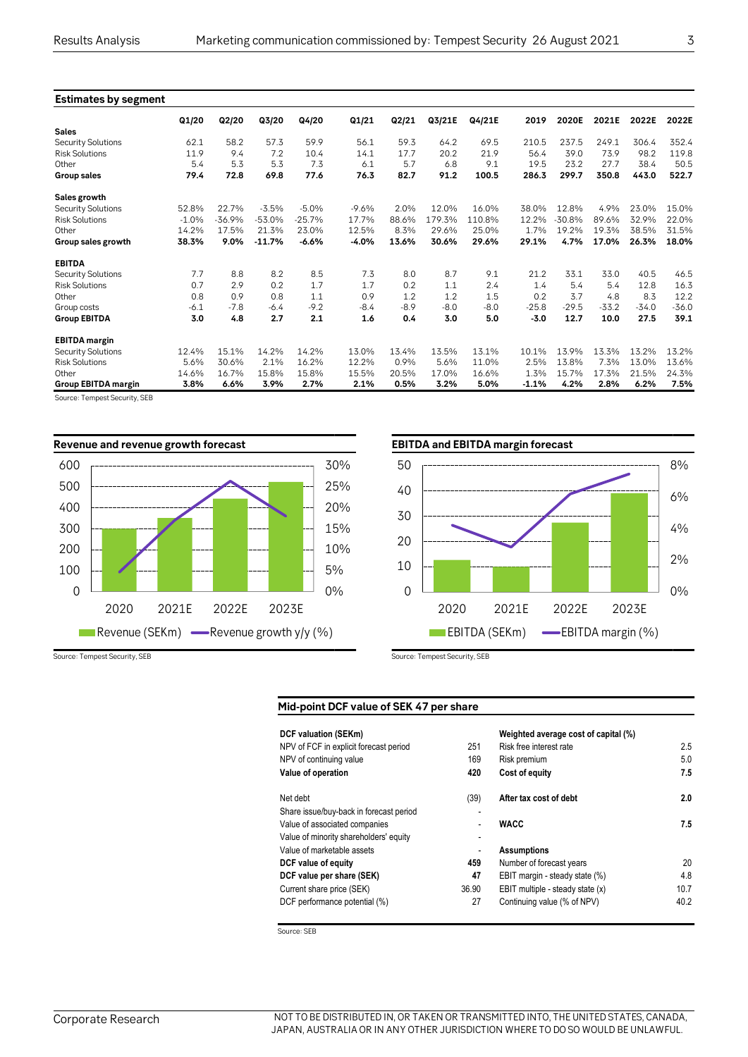| <b>Estimates by segment</b> |         |          |          |          |         |        |        |        |         |          |       |         |         |
|-----------------------------|---------|----------|----------|----------|---------|--------|--------|--------|---------|----------|-------|---------|---------|
|                             | Q1/20   | Q2/20    | Q3/20    | Q4/20    | Q1/21   | Q2/21  | Q3/21E | Q4/21E | 2019    | 2020E    | 2021E | 2022E   | 2022E   |
| <b>Sales</b>                |         |          |          |          |         |        |        |        |         |          |       |         |         |
| Security Solutions          | 62.1    | 58.2     | 57.3     | 59.9     | 56.1    | 59.3   | 64.2   | 69.5   | 210.5   | 237.5    | 249.1 | 306.4   | 352.4   |
| <b>Risk Solutions</b>       | 11.9    | 9.4      | 7.2      | 10.4     | 14.1    | 17.7   | 20.2   | 21.9   | 56.4    | 39.0     | 73.9  | 98.2    | 119.8   |
| Other                       | 5.4     | 5.3      | 5.3      | 7.3      | 6.1     | 5.7    | 6.8    | 9.1    | 19.5    | 23.2     | 27.7  | 38.4    | 50.5    |
| <b>Group sales</b>          | 79.4    | 72.8     | 69.8     | 77.6     | 76.3    | 82.7   | 91.2   | 100.5  | 286.3   | 299.7    | 350.8 | 443.0   | 522.7   |
| Sales growth                |         |          |          |          |         |        |        |        |         |          |       |         |         |
| <b>Security Solutions</b>   | 52.8%   | 22.7%    | $-3.5%$  | $-5.0%$  | $-9.6%$ | 2.0%   | 12.0%  | 16.0%  | 38.0%   | 12.8%    | 4.9%  | 23.0%   | 15.0%   |
| <b>Risk Solutions</b>       | $-1.0%$ | $-36.9%$ | $-53.0%$ | $-25.7%$ | 17.7%   | 88.6%  | 179.3% | 110.8% | 12.2%   | $-30.8%$ | 89.6% | 32.9%   | 22.0%   |
| Other                       | 14.2%   | 17.5%    | 21.3%    | 23.0%    | 12.5%   | 8.3%   | 29.6%  | 25.0%  | 1.7%    | 19.2%    | 19.3% | 38.5%   | 31.5%   |
| Group sales growth          | 38.3%   | 9.0%     | $-11.7%$ | $-6.6%$  | $-4.0%$ | 13.6%  | 30.6%  | 29.6%  | 29.1%   | 4.7%     | 17.0% | 26.3%   | 18.0%   |
| <b>EBITDA</b>               |         |          |          |          |         |        |        |        |         |          |       |         |         |
| <b>Security Solutions</b>   | 7.7     | 8.8      | 8.2      | 8.5      | 7.3     | 8.0    | 8.7    | 9.1    | 21.2    | 33.1     | 33.0  | 40.5    | 46.5    |
| <b>Risk Solutions</b>       | 0.7     | 2.9      | 0.2      | 1.7      | 1.7     | 0.2    | 1.1    | 2.4    | 1.4     | 5.4      | 5.4   | 12.8    | 16.3    |
| Other                       | 0.8     | 0.9      | 0.8      | 1.1      | 0.9     | 1.2    | 1.2    | 1.5    | 0.2     | 3.7      | 4.8   | 8.3     | 12.2    |
| Group costs                 | $-6.1$  | $-7.8$   | $-6.4$   | $-9.2$   | $-8.4$  | $-8.9$ | $-8.0$ | $-8.0$ | $-25.8$ | $-29.5$  | -33.2 | $-34.0$ | $-36.0$ |
| <b>Group EBITDA</b>         | 3.0     | 4.8      | 2.7      | 2.1      | 1.6     | 0.4    | 3.0    | 5.0    | $-3.0$  | 12.7     | 10.0  | 27.5    | 39.1    |
| <b>EBITDA</b> margin        |         |          |          |          |         |        |        |        |         |          |       |         |         |
| Security Solutions          | 12.4%   | 15.1%    | 14.2%    | 14.2%    | 13.0%   | 13.4%  | 13.5%  | 13.1%  | 10.1%   | 13.9%    | 13.3% | 13.2%   | 13.2%   |
| <b>Risk Solutions</b>       | 5.6%    | 30.6%    | 2.1%     | 16.2%    | 12.2%   | 0.9%   | 5.6%   | 11.0%  | 2.5%    | 13.8%    | 7.3%  | 13.0%   | 13.6%   |
| Other                       | 14.6%   | 16.7%    | 15.8%    | 15.8%    | 15.5%   | 20.5%  | 17.0%  | 16.6%  | 1.3%    | 15.7%    | 17.3% | 21.5%   | 24.3%   |
| <b>Group EBITDA margin</b>  | 3.8%    | 6.6%     | 3.9%     | 2.7%     | 2.1%    | 0.5%   | 3.2%   | 5.0%   | $-1.1%$ | 4.2%     | 2.8%  | 6.2%    | 7.5%    |

Source: Tempest Security, SEB



Source: Tempest Security, SEB Source: Tempest Security, SEB



#### **Mid-point DCF value of SEK 47 per share**

|                          | Weighted average cost of capital (%) |      |
|--------------------------|--------------------------------------|------|
| 251                      | Risk free interest rate              | 2.5  |
| 169                      | Risk premium                         | 5.0  |
| 420                      | Cost of equity                       | 7.5  |
| (39)                     | After tax cost of debt               | 2.0  |
| $\overline{\phantom{0}}$ |                                      |      |
|                          | <b>WACC</b>                          | 7.5  |
| ٠                        |                                      |      |
|                          | <b>Assumptions</b>                   |      |
| 459                      | Number of forecast years             | 20   |
| 47                       | EBIT margin - steady state (%)       | 4.8  |
| 36.90                    | EBIT multiple - steady state (x)     | 10.7 |
| 27                       | Continuing value (% of NPV)          | 40.2 |
|                          |                                      |      |

Source: SEB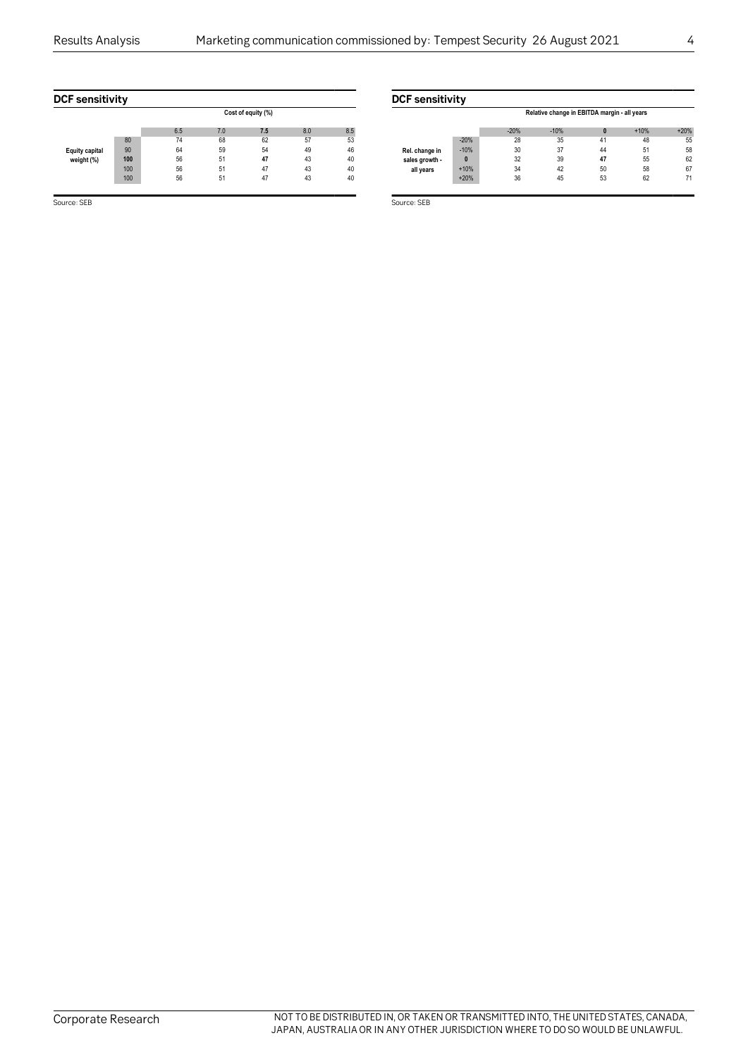| <b>DCF</b> sensitivity |     |     |     |                    |     |     | <b>DCF</b> sensitivity |       |
|------------------------|-----|-----|-----|--------------------|-----|-----|------------------------|-------|
|                        |     |     |     | Cost of equity (%) |     |     |                        |       |
|                        |     | 6.5 | 7.0 | 7.5                | 8.0 | 8.5 |                        |       |
|                        | 80  | 74  | 68  | 62                 | 57  | 53  |                        | $-20$ |
| <b>Equity capital</b>  | 90  | 64  | 59  | 54                 | 49  | 46  | Rel. change in         | $-10$ |
| weight (%)             | 100 | 56  | 51  | 47                 | 43  | 40  | sales growth -         | 0     |
|                        | 100 | 56  | 51  | 47                 | 43  | 40  | all years              | $+10$ |
|                        | 100 | 56  | 51  | 47                 | 43  | 40  |                        | $+20$ |
|                        |     |     |     |                    |     |     |                        |       |

Source: SEB Source: SEB Source: SEB Source: SEB Source: SEB Source: SEB Source: SEB

|                |        | Relative change in EBITDA margin - all years |        |    |        |        |  |  |  |  |
|----------------|--------|----------------------------------------------|--------|----|--------|--------|--|--|--|--|
|                |        | $-20%$                                       | $-10%$ | n  | $+10%$ | $+20%$ |  |  |  |  |
|                | $-20%$ | 28                                           | 35     | 41 | 48     | 55     |  |  |  |  |
| Rel. change in | $-10%$ | 30                                           | 37     | 44 | 51     | 58     |  |  |  |  |
| sales growth - | 0      | 32                                           | 39     | 47 | 55     | 62     |  |  |  |  |
| all years      | $+10%$ | 34                                           | 42     | 50 | 58     | 67     |  |  |  |  |
|                | $+20%$ | 36                                           | 45     | 53 | 62     | 71     |  |  |  |  |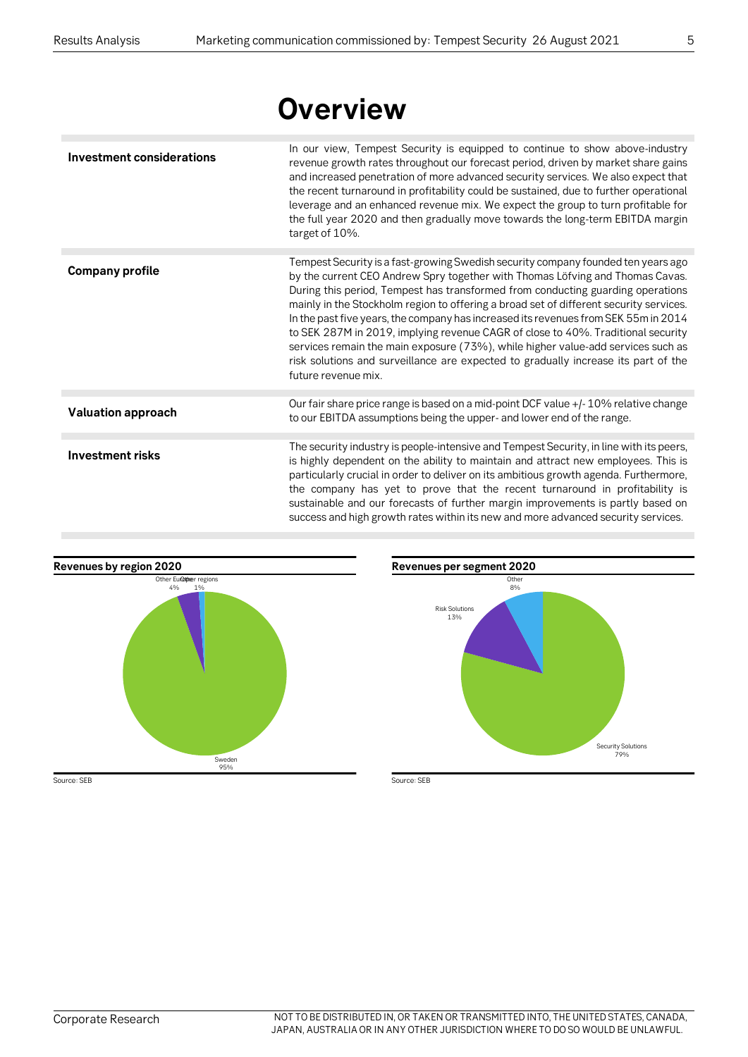# **Overview**

| <b>Investment considerations</b> | In our view, Tempest Security is equipped to continue to show above-industry<br>revenue growth rates throughout our forecast period, driven by market share gains<br>and increased penetration of more advanced security services. We also expect that<br>the recent turnaround in profitability could be sustained, due to further operational<br>leverage and an enhanced revenue mix. We expect the group to turn profitable for<br>the full year 2020 and then gradually move towards the long-term EBITDA margin<br>target of 10%.                                                                                                                                                                                     |
|----------------------------------|-----------------------------------------------------------------------------------------------------------------------------------------------------------------------------------------------------------------------------------------------------------------------------------------------------------------------------------------------------------------------------------------------------------------------------------------------------------------------------------------------------------------------------------------------------------------------------------------------------------------------------------------------------------------------------------------------------------------------------|
|                                  |                                                                                                                                                                                                                                                                                                                                                                                                                                                                                                                                                                                                                                                                                                                             |
| <b>Company profile</b>           | Tempest Security is a fast-growing Swedish security company founded ten years ago<br>by the current CEO Andrew Spry together with Thomas Löfving and Thomas Cavas.<br>During this period, Tempest has transformed from conducting guarding operations<br>mainly in the Stockholm region to offering a broad set of different security services.<br>In the past five years, the company has increased its revenues from SEK 55m in 2014<br>to SEK 287M in 2019, implying revenue CAGR of close to 40%. Traditional security<br>services remain the main exposure (73%), while higher value-add services such as<br>risk solutions and surveillance are expected to gradually increase its part of the<br>future revenue mix. |
|                                  |                                                                                                                                                                                                                                                                                                                                                                                                                                                                                                                                                                                                                                                                                                                             |
| <b>Valuation approach</b>        | Our fair share price range is based on a mid-point DCF value +/-10% relative change<br>to our EBITDA assumptions being the upper- and lower end of the range.                                                                                                                                                                                                                                                                                                                                                                                                                                                                                                                                                               |
|                                  |                                                                                                                                                                                                                                                                                                                                                                                                                                                                                                                                                                                                                                                                                                                             |
| <b>Investment risks</b>          | The security industry is people-intensive and Tempest Security, in line with its peers,<br>is highly dependent on the ability to maintain and attract new employees. This is<br>particularly crucial in order to deliver on its ambitious growth agenda. Furthermore,<br>the company has yet to prove that the recent turnaround in profitability is<br>sustainable and our forecasts of further margin improvements is partly based on<br>success and high growth rates within its new and more advanced security services.                                                                                                                                                                                                |



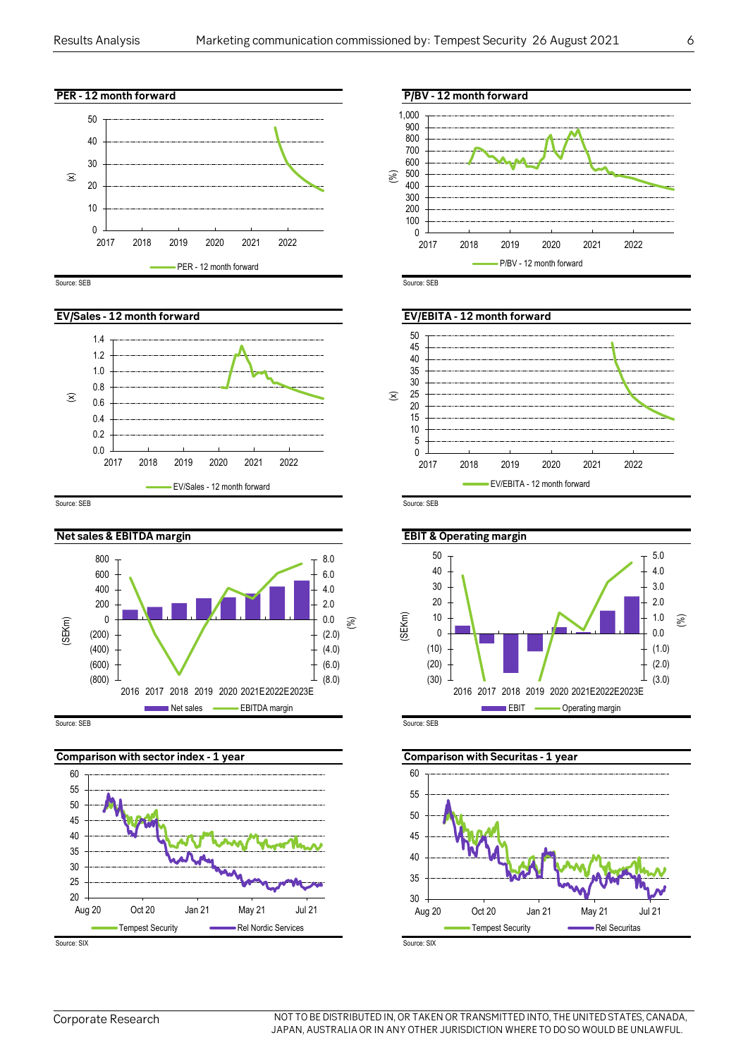



Source: SEB Source: SEB Source: SEB Source: SEB Source: SEB Source: SEB Source: SEB







Source: SEB Source: SEB Source: SEB Source: SEB Source: SEB Source: SEB Source: SEB Source: SEB









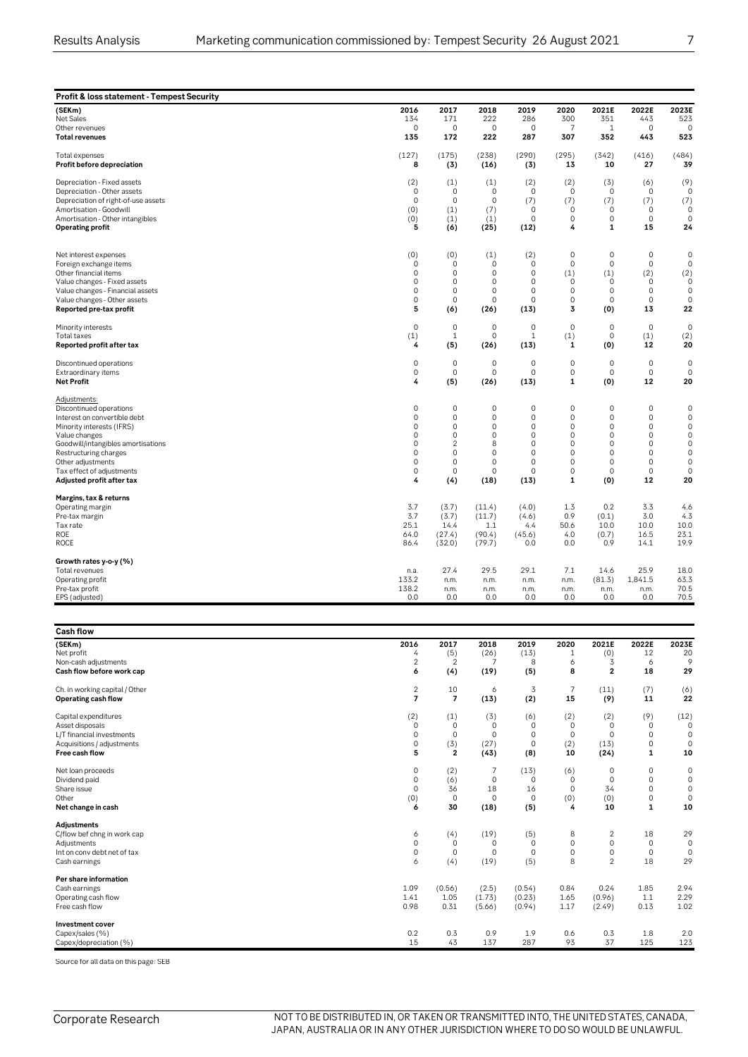| Profit & loss statement - Tempest Security                                                                                                                                                                                                                          |                                                                                                                             |                                                                                                            |                                                                            |                                                                                                        |                                                                                                                                           |                                                                                                                  |                                                                                                                                 |                                                                                                                         |
|---------------------------------------------------------------------------------------------------------------------------------------------------------------------------------------------------------------------------------------------------------------------|-----------------------------------------------------------------------------------------------------------------------------|------------------------------------------------------------------------------------------------------------|----------------------------------------------------------------------------|--------------------------------------------------------------------------------------------------------|-------------------------------------------------------------------------------------------------------------------------------------------|------------------------------------------------------------------------------------------------------------------|---------------------------------------------------------------------------------------------------------------------------------|-------------------------------------------------------------------------------------------------------------------------|
| (SEKm)                                                                                                                                                                                                                                                              | 2016                                                                                                                        | 2017                                                                                                       | 2018                                                                       | 2019                                                                                                   | 2020                                                                                                                                      | 2021E                                                                                                            | 2022E                                                                                                                           | 2023E                                                                                                                   |
| Net Sales                                                                                                                                                                                                                                                           | 134                                                                                                                         | 171                                                                                                        | 222                                                                        | 286                                                                                                    | 300                                                                                                                                       | 351                                                                                                              | 443                                                                                                                             | 523                                                                                                                     |
| Other revenues                                                                                                                                                                                                                                                      | $\mathbf 0$                                                                                                                 | $\mathbf 0$                                                                                                | $\mathbf 0$                                                                | 0                                                                                                      | $\overline{7}$                                                                                                                            | $\mathbf{1}$                                                                                                     | $\Omega$                                                                                                                        | $\Omega$                                                                                                                |
| <b>Total revenues</b>                                                                                                                                                                                                                                               | 135                                                                                                                         | 172                                                                                                        | 222                                                                        | 287                                                                                                    | 307                                                                                                                                       | 352                                                                                                              | 443                                                                                                                             | 523                                                                                                                     |
| Total expenses                                                                                                                                                                                                                                                      | (127)                                                                                                                       | (175)                                                                                                      | (238)                                                                      | (290)                                                                                                  | (295)                                                                                                                                     | (342)                                                                                                            | (416)                                                                                                                           | (484)                                                                                                                   |
| Profit before depreciation                                                                                                                                                                                                                                          | 8                                                                                                                           | (3)                                                                                                        | (16)                                                                       | (3)                                                                                                    | 13                                                                                                                                        | 10                                                                                                               | 27                                                                                                                              | 39                                                                                                                      |
| Depreciation - Fixed assets                                                                                                                                                                                                                                         | (2)                                                                                                                         | (1)                                                                                                        | (1)                                                                        | (2)                                                                                                    | (2)                                                                                                                                       | (3)                                                                                                              | (6)                                                                                                                             | (9)                                                                                                                     |
| Depreciation - Other assets                                                                                                                                                                                                                                         | $\mathbf 0$                                                                                                                 | $\circ$                                                                                                    | $\mathbf 0$                                                                | 0                                                                                                      | $\mathsf{O}\xspace$                                                                                                                       | $\circ$                                                                                                          | $\mathbf 0$                                                                                                                     | $\mathbf 0$                                                                                                             |
| Depreciation of right-of-use assets                                                                                                                                                                                                                                 | $\mathbf 0$                                                                                                                 | $\circ$                                                                                                    | $\mathbf 0$                                                                | (7)                                                                                                    | (7)                                                                                                                                       | (7)                                                                                                              | (7)                                                                                                                             | (7)                                                                                                                     |
| Amortisation - Goodwill                                                                                                                                                                                                                                             | (0)                                                                                                                         | (1)                                                                                                        | (7)                                                                        | $\mathbf 0$                                                                                            | $\mathsf{O}\xspace$                                                                                                                       | $\mathbf 0$                                                                                                      | $\mathbf 0$                                                                                                                     | $\mathbf 0$                                                                                                             |
| Amortisation - Other intangibles                                                                                                                                                                                                                                    | (0)                                                                                                                         | (1)                                                                                                        | (1)                                                                        | $\mathbf 0$                                                                                            | $\mathsf{O}\xspace$                                                                                                                       | $\mathbf 0$                                                                                                      | $\mathbf 0$                                                                                                                     | $\mathbf 0$                                                                                                             |
| <b>Operating profit</b>                                                                                                                                                                                                                                             | 5                                                                                                                           | (6)                                                                                                        | (25)                                                                       | (12)                                                                                                   | 4                                                                                                                                         | $\mathbf{1}$                                                                                                     | 15                                                                                                                              | 24                                                                                                                      |
| Net interest expenses                                                                                                                                                                                                                                               | (0)                                                                                                                         | (0)                                                                                                        | (1)                                                                        | (2)                                                                                                    | $\mathbf 0$                                                                                                                               | $\mathbf 0$                                                                                                      | $\mathbf 0$                                                                                                                     | 0                                                                                                                       |
| Foreign exchange items                                                                                                                                                                                                                                              | $\mathbf 0$                                                                                                                 | $\mathbf 0$                                                                                                | $\mathbf 0$                                                                | 0                                                                                                      | $\mathbf 0$                                                                                                                               | $\mathbf 0$                                                                                                      | $\mathbf 0$                                                                                                                     | $\mathbf 0$                                                                                                             |
| Other financial items                                                                                                                                                                                                                                               | $\Omega$                                                                                                                    | $\Omega$                                                                                                   | $\mathbf 0$                                                                | $\Omega$                                                                                               | (1)                                                                                                                                       | (1)                                                                                                              | (2)                                                                                                                             | (2)                                                                                                                     |
| Value changes - Fixed assets                                                                                                                                                                                                                                        | $\mathbf 0$                                                                                                                 | $\circ$                                                                                                    | 0                                                                          | $\mathbf 0$                                                                                            | $\mathbf 0$                                                                                                                               | $\mathbf 0$                                                                                                      | $\mathbf 0$                                                                                                                     | $\mathbf 0$                                                                                                             |
| Value changes - Financial assets                                                                                                                                                                                                                                    | $\mathbf 0$                                                                                                                 | $\circ$                                                                                                    | 0                                                                          | $\Omega$                                                                                               | $\mathbf 0$                                                                                                                               | $\circ$                                                                                                          | $\Omega$                                                                                                                        | $\mathbf 0$                                                                                                             |
| Value changes - Other assets                                                                                                                                                                                                                                        | $\mathsf{O}\xspace$                                                                                                         | $\mathsf{O}\xspace$                                                                                        | $\mathbf 0$                                                                | 0                                                                                                      | $\mathsf{O}\xspace$                                                                                                                       | $\mathsf{O}\xspace$                                                                                              | $\mathbf 0$                                                                                                                     | $\mathbf 0$                                                                                                             |
| Reported pre-tax profit                                                                                                                                                                                                                                             | 5                                                                                                                           | (6)                                                                                                        | (26)                                                                       | (13)                                                                                                   | 3                                                                                                                                         | (0)                                                                                                              | 13                                                                                                                              | 22                                                                                                                      |
| Minority interests                                                                                                                                                                                                                                                  | $\mathsf{O}\xspace$                                                                                                         | $\mathbf 0$                                                                                                | $\mathbf 0$                                                                | 0                                                                                                      | $\mathsf{O}\xspace$                                                                                                                       | $\mathsf{O}\xspace$                                                                                              | $\mathbf 0$                                                                                                                     | $\mathbf 0$                                                                                                             |
| Total taxes                                                                                                                                                                                                                                                         | (1)                                                                                                                         | $\mathbf{1}$                                                                                               | $\mathbf 0$                                                                | $\mathbf{1}$                                                                                           | (1)                                                                                                                                       | $\mathsf{O}\xspace$                                                                                              | (1)                                                                                                                             | (2)                                                                                                                     |
| Reported profit after tax                                                                                                                                                                                                                                           | 4                                                                                                                           | (5)                                                                                                        | (26)                                                                       | (13)                                                                                                   | $\mathbf{1}$                                                                                                                              | (0)                                                                                                              | 12                                                                                                                              | 20                                                                                                                      |
| Discontinued operations                                                                                                                                                                                                                                             | $\Omega$                                                                                                                    | $\mathbf 0$                                                                                                | $\Omega$                                                                   | $\mathbf 0$                                                                                            | $\mathbf 0$                                                                                                                               | $\Omega$                                                                                                         | $\mathbf 0$                                                                                                                     | $\mathbf 0$                                                                                                             |
| Extraordinary items                                                                                                                                                                                                                                                 | $\mathsf{O}\xspace$                                                                                                         | $\mathsf{O}\xspace$                                                                                        | $\mathbf 0$                                                                | 0                                                                                                      | $\mathsf{O}\xspace$                                                                                                                       | $\mathsf{O}\xspace$                                                                                              | $\mathbf 0$                                                                                                                     | $\mathbf 0$                                                                                                             |
| <b>Net Profit</b>                                                                                                                                                                                                                                                   | 4                                                                                                                           | (5)                                                                                                        | (26)                                                                       | (13)                                                                                                   | $\mathbf{1}$                                                                                                                              | (0)                                                                                                              | 12                                                                                                                              | 20                                                                                                                      |
| Adjustments:<br>Discontinued operations<br>Interest on convertible debt<br>Minority interests (IFRS)<br>Value changes<br>Goodwill/intangibles amortisations<br>Restructuring charges<br>Other adjustments<br>Tax effect of adjustments<br>Adjusted profit after tax | $\mathbf 0$<br>$\mathsf{O}\xspace$<br>$\mathbf 0$<br>$\Omega$<br>$\mathbf 0$<br>$\mathbf 0$<br>$\mathbf 0$<br>$\Omega$<br>4 | $\mathbf 0$<br>$\mathbf 0$<br>$\circ$<br>$\Omega$<br>2<br>$\mathbf 0$<br>$\mathbf 0$<br>$\mathbf 0$<br>(4) | $\mathbf 0$<br>0<br>0<br>0<br>8<br>$\mathbf 0$<br>0<br>$\mathbf 0$<br>(18) | $\mathbf 0$<br>0<br>$\mathbf 0$<br>$\Omega$<br>$\Omega$<br>$\Omega$<br>$\mathbf 0$<br>$\Omega$<br>(13) | $\mathbf 0$<br>$\mathsf{O}\xspace$<br>$\mathbf 0$<br>$\mathbf 0$<br>$\mathbf 0$<br>$\mathbf 0$<br>$\mathsf{O}\xspace$<br>$\mathbf 0$<br>1 | $\mathbf 0$<br>$\mathbf 0$<br>$\mathbf 0$<br>$\Omega$<br>$\circ$<br>$\mathbf 0$<br>$\mathbf 0$<br>$\circ$<br>(0) | $\mathbf 0$<br>$\mathsf{O}\xspace$<br>$\mathbf 0$<br>$\Omega$<br>$\mathbf 0$<br>$\mathbf 0$<br>$\mathbf 0$<br>$\mathbf 0$<br>12 | $\mathbf 0$<br>$\mathbf 0$<br>$\mathbf 0$<br>$\Omega$<br>$\mathbf 0$<br>$\mathbf 0$<br>$\mathbf 0$<br>$\mathbf 0$<br>20 |
| Margins, tax & returns<br>Operating margin<br>Pre-tax margin<br>Tax rate<br><b>ROE</b><br><b>ROCE</b>                                                                                                                                                               | 3.7<br>3.7<br>25.1<br>64.0<br>86.4                                                                                          | (3.7)<br>(3.7)<br>14.4<br>(27.4)<br>(32.0)                                                                 | (11.4)<br>(11.7)<br>1.1<br>(90.4)<br>(79.7)                                | (4.0)<br>(4.6)<br>4.4<br>(45.6)<br>0.0                                                                 | 1.3<br>0.9<br>50.6<br>4.0<br>0.0                                                                                                          | 0.2<br>(0.1)<br>10.0<br>(0.7)<br>0.9                                                                             | 3.3<br>3.0<br>10.0<br>16.5<br>14.1                                                                                              | 4.6<br>4.3<br>10.0<br>23.1<br>19.9                                                                                      |
| Growth rates y-o-y (%)<br>Total revenues<br>Operating profit<br>Pre-tax profit<br>EPS (adjusted)                                                                                                                                                                    | n.a.<br>133.2<br>138.2<br>0.0                                                                                               | 27.4<br>n.m.<br>n.m.<br>0.0                                                                                | 29.5<br>n.m.<br>n.m.<br>0.0                                                | 29.1<br>n.m.<br>n.m.<br>0.0                                                                            | 7.1<br>n.m.<br>n.m.<br>0.0                                                                                                                | 14.6<br>(81.3)<br>n.m.<br>0.0                                                                                    | 25.9<br>1,841.5<br>n.m.<br>0.0                                                                                                  | 18.0<br>63.3<br>70.5<br>70.5                                                                                            |

| <b>Cash flow</b>                                                                                          |                                      |                                          |                           |                                          |                                      |                                                   |                              |                                        |
|-----------------------------------------------------------------------------------------------------------|--------------------------------------|------------------------------------------|---------------------------|------------------------------------------|--------------------------------------|---------------------------------------------------|------------------------------|----------------------------------------|
| (SEKm)                                                                                                    | 2016                                 | 2017                                     | 2018                      | 2019                                     | 2020                                 | 2021E                                             | 2022E                        | 2023E                                  |
| Net profit                                                                                                | 4                                    | (5)                                      | (26)                      | (13)                                     | $\mathbf{1}$                         | (0)                                               | 12                           | 20                                     |
| Non-cash adjustments                                                                                      | $\overline{2}$                       | 2                                        | 7                         | 8                                        | 6                                    | 3                                                 | 6                            | 9                                      |
| Cash flow before work cap                                                                                 | 6                                    | (4)                                      | (19)                      | (5)                                      | 8                                    | $\overline{2}$                                    | 18                           | 29                                     |
| Ch. in working capital / Other                                                                            | $\overline{c}$                       | 10                                       | 6                         | 3                                        | $\overline{7}$                       | (11)                                              | (7)                          | $^{(6)}_{\bf 22}$                      |
| Operating cash flow                                                                                       | $\overline{7}$                       | $\overline{7}$                           | (13)                      | (2)                                      | 15                                   | (9)                                               | 11                           |                                        |
| Capital expenditures                                                                                      | (2)                                  | (1)                                      | (3)                       | (6)                                      | (2)                                  | (2)                                               | (9)                          | (12)                                   |
| Asset disposals                                                                                           | $\mathbf 0$                          | $\mathbf 0$                              | $\mathbf 0$               | $\mathbf 0$                              | $\mathbf 0$                          | 0                                                 | 0                            | $\mathbf 0$                            |
| L/T financial investments                                                                                 | $\mathbf 0$                          | $\mathbf 0$                              | 0                         | $\mathbf 0$                              | $\mathbf 0$                          | $\Omega$                                          | $\mathbf 0$                  | $\mathbf 0$                            |
| Acquisitions / adjustments                                                                                | $\mathsf{O}\xspace$                  | (3)                                      | (27)                      | $\mathbf 0$                              | (2)                                  | (13)                                              | 0                            | $\mathbf 0$                            |
| Free cash flow                                                                                            | 5                                    | $\overline{2}$                           | (43)                      | (8)                                      | 10                                   | (24)                                              | $\mathbf{1}$                 | 10                                     |
| Net loan proceeds                                                                                         | $\mathsf{O}\xspace$                  | (2)                                      | 7                         | (13)                                     | (6)                                  | 0                                                 | $\mathsf 0$                  | $\mathbf 0$                            |
| Dividend paid                                                                                             | $\mathsf{O}\xspace$                  | (6)                                      | $\Omega$                  | $\Omega$                                 | $\mathbf 0$                          | 0                                                 | $\mathsf 0$                  | $\mathbf 0$                            |
| Share issue                                                                                               | $\mathbf 0$                          | 36                                       | 18                        | 16                                       | $\mathsf{O}\xspace$                  | 34                                                | $\mathsf{O}\xspace$          | $\mathbf 0$                            |
| Other                                                                                                     | (0)                                  | $\mathsf{O}$                             | $\Omega$                  | $\mathbf 0$                              | (0)                                  | (0)                                               | $\mathsf{O}\xspace$          | $\mathbf 0$                            |
| Net change in cash                                                                                        | 6                                    | 30                                       | (18)                      | (5)                                      | 4                                    | 10                                                | 1                            | 10                                     |
| Adjustments<br>C/flow bef chng in work cap<br>Adjustments<br>Int on conv debt net of tax<br>Cash earnings | 6<br>$\mathbb O$<br>$\mathbf 0$<br>6 | (4)<br>$\mathbf 0$<br>$\mathbf 0$<br>(4) | (19)<br>0<br>0<br>(19)    | (5)<br>$\mathbf 0$<br>$\mathbf 0$<br>(5) | 8<br>$\mathbb O$<br>$\mathbf 0$<br>8 | $\overline{2}$<br>0<br>$\Omega$<br>$\overline{2}$ | 18<br>$\mathbf 0$<br>0<br>18 | 29<br>$\mathbf 0$<br>$\mathbf 0$<br>29 |
| Per share information<br>Cash earnings<br>Operating cash flow<br>Free cash flow                           | 1.09<br>1.41<br>0.98                 | (0.56)<br>1.05<br>0.31                   | (2.5)<br>(1.73)<br>(5.66) | (0.54)<br>(0.23)<br>(0.94)               | 0.84<br>1.65<br>1.17                 | 0.24<br>(0.96)<br>(2.49)                          | 1.85<br>1.1<br>0.13          | 2.94<br>2.29<br>1.02                   |
| Investment cover<br>Capex/sales (%)<br>Capex/depreciation (%)                                             | 0.2<br>15                            | 0.3<br>43                                | 0.9<br>137                | 1.9<br>287                               | 0.6<br>93                            | 0.3<br>37                                         | 1.8<br>125                   | 2.0<br>123                             |

Source for all data on this page: SEB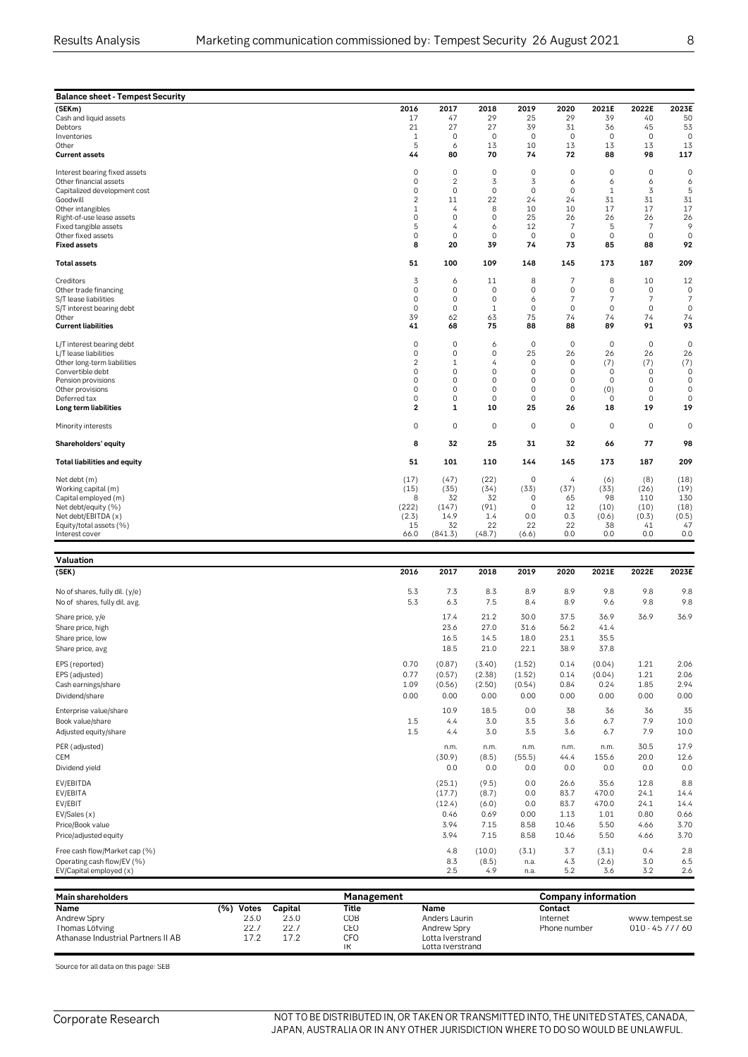|   | v |    |  |
|---|---|----|--|
|   |   |    |  |
| I |   |    |  |
|   |   |    |  |
|   |   | ۰. |  |

| <b>Balance sheet - Tempest Security</b>        |                            |                        |                                    |                    |                               |                            |                                    |                               |
|------------------------------------------------|----------------------------|------------------------|------------------------------------|--------------------|-------------------------------|----------------------------|------------------------------------|-------------------------------|
| (SEKm)                                         | 2016                       | 2017                   | 2018                               | 2019               | 2020                          | 2021E                      | 2022E                              | 2023E                         |
| Cash and liquid assets                         | 17<br>21                   | 47<br>27               | 29<br>27                           | 25<br>39           | 29<br>31                      | 39                         | 40<br>45                           | 50<br>53                      |
| Debtors<br>Inventories                         | 1                          | $\mathbf 0$            | $\mathbf 0$                        | $\mathbf 0$        | $\mathbf 0$                   | 36<br>$\mathbf 0$          | $\mathbf 0$                        | $\mathbf 0$                   |
| Other                                          | 5                          | 6                      | 13                                 | 10                 | 13                            | 13                         | 13                                 | 13                            |
| <b>Current assets</b>                          | 44                         | 80                     | 70                                 | 74                 | 72                            | 88                         | 98                                 | 117                           |
| Interest bearing fixed assets                  | $\mathsf{O}\xspace$        | $\mathsf{O}\xspace$    | $\mathbf 0$                        | $\mathbf 0$        | $\mathsf{O}\xspace$           | $\mathsf{O}\xspace$        | $\mathbf 0$                        | $\mathbf 0$                   |
| Other financial assets                         | $\mathbf 0$                | $\overline{c}$         | 3                                  | 3                  | 6                             | 6                          | 6                                  | 6                             |
| Capitalized development cost<br>Goodwill       | $\mathbf 0$<br>2           | $\mathbf 0$<br>11      | $\mathsf{O}\xspace$<br>22          | $\mathbf 0$<br>24  | $\mathsf{O}\xspace$<br>24     | $1\,$<br>31                | 3<br>31                            | 5<br>31                       |
| Other intangibles                              | $\mathbf{1}$               | $\overline{4}$         | 8                                  | 10                 | 10                            | 17                         | 17                                 | 17                            |
| Right-of-use lease assets                      | $\mathbf 0$                | $\mathbf 0$            | $\mathbf 0$                        | 25                 | 26                            | 26                         | 26                                 | 26                            |
| Fixed tangible assets                          | 5                          | 4                      | 6                                  | 12                 | 7                             | 5                          | 7                                  | 9                             |
| Other fixed assets                             | $\mathbf 0$                | $\circ$                | $\mathsf{O}\xspace$                | $\mathbf 0$        | $\mathsf{O}\xspace$           | $\mathsf{O}\xspace$        | $\mathbf 0$                        | $\mathbf 0$                   |
| <b>Fixed assets</b>                            | 8                          | 20                     | 39                                 | 74                 | 73                            | 85                         | 88                                 | 92                            |
| <b>Total assets</b>                            | 51                         | 100                    | 109                                | 148                | 145                           | 173                        | 187                                | 209                           |
| Creditors                                      | 3                          | 6                      | 11                                 | 8                  | $\overline{7}$                | 8                          | 10                                 | 12                            |
| Other trade financing<br>S/T lease liabilities | $\mathbf 0$<br>$\mathbf 0$ | $\circ$<br>$\mathbf 0$ | $\mathbf 0$<br>$\mathbf 0$         | $\mathbf 0$<br>6   | $\mathbf 0$<br>$\overline{7}$ | $\circ$<br>$\overline{7}$  | $\mathbf 0$<br>$\overline{7}$      | $\mathbf 0$<br>$\overline{7}$ |
| S/T interest bearing debt                      | $\Omega$                   | $\mathbf 0$            | $\mathbf{1}$                       | $\mathbf{0}$       | $\mathbf 0$                   | $\mathbf{0}$               | $\circ$                            | $\mathbf{0}$                  |
| Other                                          | 39                         | 62                     | 63                                 | 75                 | 74                            | 74                         | 74                                 | 74                            |
| <b>Current liabilities</b>                     | 41                         | 68                     | 75                                 | 88                 | 88                            | 89                         | 91                                 | 93                            |
| L/T interest bearing debt                      | $\mathbf 0$                | $\mathbf 0$            | 6                                  | $\mathbf 0$        | $\mathbf 0$                   | $\mathbf 0$                | $\mathbf 0$                        | $\mathbf 0$                   |
| L/T lease liabilities                          | $\mathbf 0$                | $\mathsf{O}\xspace$    | 0                                  | 25                 | 26                            | 26                         | 26                                 | 26                            |
| Other long-term liabilities                    | $\overline{2}$             | 1                      | 4                                  | $\mathbf 0$        | $\mathsf{O}\xspace$           | (7)                        | (7)                                | (7)                           |
| Convertible debt<br>Pension provisions         | 0<br>$\Omega$              | $\mathbf 0$<br>0       | $\mathbf 0$<br>$\mathsf{O}\xspace$ | 0<br>$\mathbf 0$   | 0<br>0                        | $\mathbf 0$<br>$\mathbf 0$ | $\mathbf 0$<br>$\mathsf{O}\xspace$ | $\mathbf 0$<br>$\mathbf 0$    |
| Other provisions                               | $\Omega$                   | $\Omega$               | $\mathbf 0$                        | $\mathbf 0$        | $\mathbf 0$                   | (0)                        | $\mathbf 0$                        | $\mathbf 0$                   |
| Deferred tax                                   | $\Omega$                   | $\Omega$               | $\mathsf{O}\xspace$                | $\mathbf 0$        | $\mathbb O$                   | $\mathbf 0$                | $\mathsf{O}\xspace$                | $\Omega$                      |
| Long term liabilities                          | 2                          | 1                      | 10                                 | 25                 | 26                            | 18                         | 19                                 | 19                            |
| Minority interests                             | 0                          | $\mathsf{O}\xspace$    | $\mathsf{O}\xspace$                | $\mathbf 0$        | $\mathsf{O}\xspace$           | 0                          | $\mathbf 0$                        | $\mathbf 0$                   |
| Shareholders' equity                           | 8                          | 32                     | 25                                 | 31                 | 32                            | 66                         | 77                                 | 98                            |
| <b>Total liabilities and equity</b>            | 51                         | 101                    | 110                                | 144                | 145                           | 173                        | 187                                | 209                           |
| Net debt (m)                                   | (17)                       | (47)                   | (22)                               | $\mathbf 0$        | 4                             | (6)                        | (8)                                | (18)                          |
| Working capital (m)                            | (15)                       | (35)                   | (34)                               | (33)               | (37)                          | (33)                       | (26)                               | (19)                          |
| Capital employed (m)                           | 8                          | 32                     | 32                                 | 0                  | 65                            | 98                         | 110                                | 130                           |
| Net debt/equity (%)<br>Net debt/EBITDA (x)     | (222)<br>(2.3)             | (147)<br>14.9          | (91)<br>1.4                        | $\mathbf 0$<br>0.0 | 12<br>0.3                     | (10)<br>(0.6)              | (10)<br>(0.3)                      | (18)<br>(0.5)                 |
| Equity/total assets (%)                        | 15                         | 32                     | 22                                 | 22                 | 22                            | 38                         | 41                                 | 47                            |
| Interest cover                                 | 66.0                       | (841.3)                | (48.7)                             | (6.6)              | 0.0                           | 0.0                        | 0.0                                | 0.0                           |
| Valuation                                      |                            |                        |                                    |                    |                               |                            |                                    |                               |
| (SEK)                                          | 2016                       | 2017                   | 2018                               | 2019               | 2020                          | 2021E                      | 2022E                              | 2023E                         |
| No of shares, fully dil. (y/e)                 | 5.3                        | 7.3                    | 8.3                                | 8.9                | 8.9                           | 9.8                        | 9.8                                | 9.8                           |
| No of shares, fully dil. avg.                  | 5.3                        | 6.3                    | 7.5                                | 8.4                | 8.9                           | 9.6                        | 9.8                                | 9.8                           |
| Share price, y/e                               |                            | 17.4                   | 21.2                               | 30.0               | 37.5                          | 36.9                       | 36.9                               | 36.9                          |
| Share price, high                              |                            | 23.6                   | 27.0                               | 31.6               | 56.2                          | 41.4                       |                                    |                               |
| Share price, low                               |                            | 16.5                   | 14.5                               | 18.0               | 23.1                          | 35.5                       |                                    |                               |
| Share price, avg                               |                            | 18.5                   | 21.0                               | 22.1               | 38.9                          | 37.8                       |                                    |                               |
|                                                | 0.70                       |                        |                                    |                    |                               |                            |                                    |                               |
| EPS (reported)<br>EPS (adjusted)               | 0.77                       | (0.87)<br>(0.57)       | (3.40)<br>(2.38)                   | (1.52)<br>(1.52)   | 0.14<br>0.14                  | (0.04)<br>(0.04)           | 1.21<br>1.21                       | 2.06<br>2.06                  |
| Cash earnings/share                            | 1.09                       | (0.56)                 | (2.50)                             | (0.54)             | 0.84                          | 0.24                       | 1.85                               | 2.94                          |
| Dividend/share                                 | 0.00                       | 0.00                   | 0.00                               | 0.00               | 0.00                          | 0.00                       | 0.00                               | 0.00                          |
|                                                |                            |                        |                                    |                    |                               |                            |                                    |                               |
| Enterprise value/share                         |                            | 10.9                   | 18.5                               | 0.0                | 38                            | 36                         | 36                                 | 35                            |
| Book value/share                               | 1.5<br>1.5                 | 4.4                    | 3.0<br>3.0                         | 3.5<br>3.5         | 3.6                           | 6.7<br>6.7                 | 7.9<br>7.9                         | 10.0<br>10.0                  |
| Adjusted equity/share                          |                            | 4.4                    |                                    |                    | 3.6                           |                            |                                    |                               |

| Management<br>Name<br>Anders Laurin |                   |                 | <b>Company information</b><br>Contact<br>Internet |            | www.tempest.se |                                 |
|-------------------------------------|-------------------|-----------------|---------------------------------------------------|------------|----------------|---------------------------------|
|                                     |                   |                 |                                                   |            |                |                                 |
|                                     |                   |                 |                                                   |            |                |                                 |
|                                     |                   |                 |                                                   |            |                |                                 |
|                                     | 4.9               | n.a.            |                                                   |            |                | 2.6                             |
|                                     |                   |                 |                                                   |            |                | 6.5                             |
|                                     |                   |                 |                                                   |            |                | 2.8                             |
| 3.94                                | 7.15              | 8.58            | 10.46                                             | 5.50       | 4.66           | 3.70                            |
| 3.94                                | 7.15              | 8.58            | 10.46                                             | 5.50       | 4.66           | 3.70                            |
| 0.46                                | 0.69              | 0.00            | 1.13                                              | 1.01       | 0.80           | 0.66                            |
| (12.4)                              | (6.0)             | 0.0             | 83.7                                              | 470.0      | 24.1           | 14.4                            |
| (17.7)                              | (8.7)             | 0.0             | 83.7                                              | 470.0      | 24.1           | 14.4                            |
| (25.1)                              | (9.5)             | 0.0             | 26.6                                              | 35.6       | 12.8           | 8.8                             |
| 0.0                                 | 0.0               | 0.0             | 0.0                                               | 0.0        | 0.0            | 0.0                             |
| (30.9)                              | (8.5)             | (55.5)          | 44.4                                              | 155.6      | 20.0           | 12.6                            |
|                                     | 4.8<br>8.3<br>2.5 | (10.0)<br>(8.5) | (3.1)<br>n.a.                                     | 3.7<br>4.3 | (3.1)<br>(2.6) | 0.4<br>3.0<br>5.2<br>3.2<br>3.6 |

Book value/share 1.5 4.4 3.0 3.5 3.6 6.7 7.9 10.0 Adjusted equity/share 1.5 4.4 3.0 3.5 3.6 6.7 7.9 10.0 3.9 Adjusted equity/share 1.5 4.4 3.0 3.5 3.6 6.7 7.9 10.0 PER (adjusted) n.m. n.m. n.m. n.m. n.m. 30.5 17.9

| Andrew Spry                        | 23.0                   | 23.0       | COB | Anders Laurin    | Internet     | www.tempest.se     |
|------------------------------------|------------------------|------------|-----|------------------|--------------|--------------------|
| Thomas Löfving                     |                        | 227<br>LL. | CEC | Andrew Sprv      | Phone number | ' 60<br>$010 - 45$ |
| Athanase Industrial Partners II AB | 17 O<br>- <i>1 . 4</i> | 170        | CFO | Lotta Iverstrand |              |                    |
|                                    |                        |            |     | Lotta Iverstrand |              |                    |
|                                    |                        |            |     |                  |              |                    |

Source for all data on this page: SEB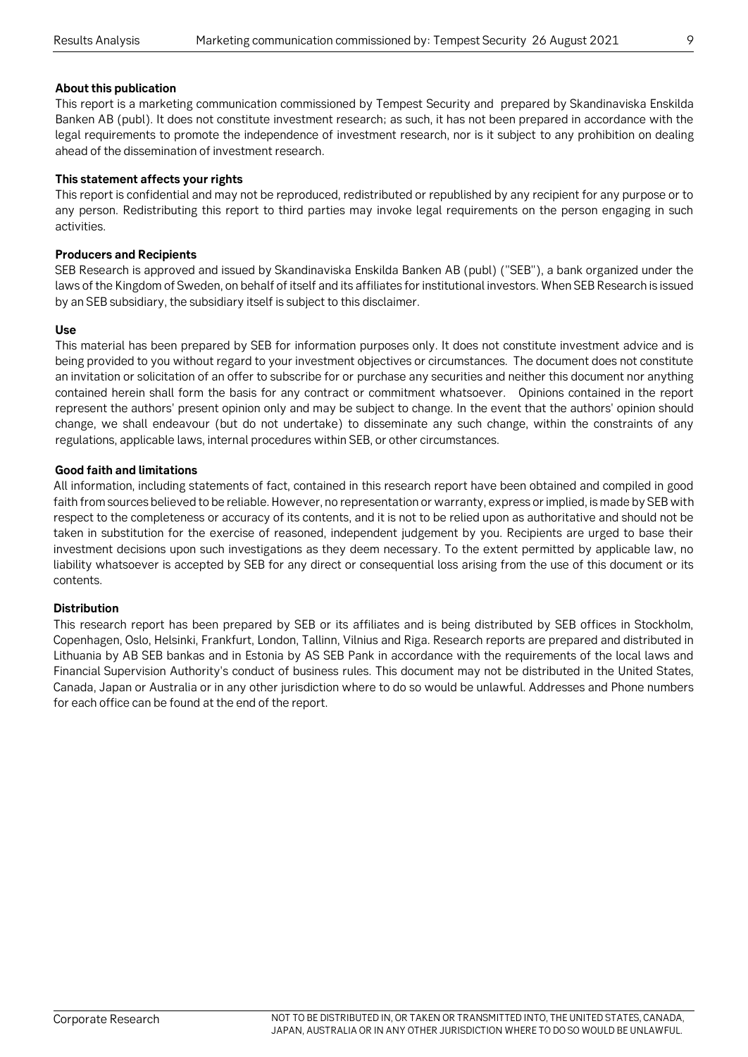#### **About this publication**

This report is a marketing communication commissioned by Tempest Security and prepared by Skandinaviska Enskilda Banken AB (publ). It does not constitute investment research; as such, it has not been prepared in accordance with the legal requirements to promote the independence of investment research, nor is it subject to any prohibition on dealing ahead of the dissemination of investment research.

#### **This statement affects your rights**

This report is confidential and may not be reproduced, redistributed or republished by any recipient for any purpose or to any person. Redistributing this report to third parties may invoke legal requirements on the person engaging in such activities.

#### **Producers and Recipients**

SEB Research is approved and issued by Skandinaviska Enskilda Banken AB (publ) ("SEB"), a bank organized under the laws of the Kingdom of Sweden, on behalf of itself and its affiliates for institutional investors. When SEB Research is issued by an SEB subsidiary, the subsidiary itself is subject to this disclaimer.

#### **Use**

This material has been prepared by SEB for information purposes only. It does not constitute investment advice and is being provided to you without regard to your investment objectives or circumstances. The document does not constitute an invitation or solicitation of an offer to subscribe for or purchase any securities and neither this document nor anything contained herein shall form the basis for any contract or commitment whatsoever. Opinions contained in the report represent the authors' present opinion only and may be subject to change. In the event that the authors' opinion should change, we shall endeavour (but do not undertake) to disseminate any such change, within the constraints of any regulations, applicable laws, internal procedures within SEB, or other circumstances.

#### **Good faith and limitations**

All information, including statements of fact, contained in this research report have been obtained and compiled in good faith from sources believed to be reliable. However, no representation or warranty, express or implied, is made by SEB with respect to the completeness or accuracy of its contents, and it is not to be relied upon as authoritative and should not be taken in substitution for the exercise of reasoned, independent judgement by you. Recipients are urged to base their investment decisions upon such investigations as they deem necessary. To the extent permitted by applicable law, no liability whatsoever is accepted by SEB for any direct or consequential loss arising from the use of this document or its contents.

#### **Distribution**

This research report has been prepared by SEB or its affiliates and is being distributed by SEB offices in Stockholm, Copenhagen, Oslo, Helsinki, Frankfurt, London, Tallinn, Vilnius and Riga. Research reports are prepared and distributed in Lithuania by AB SEB bankas and in Estonia by AS SEB Pank in accordance with the requirements of the local laws and Financial Supervision Authority's conduct of business rules. This document may not be distributed in the United States, Canada, Japan or Australia or in any other jurisdiction where to do so would be unlawful. Addresses and Phone numbers for each office can be found at the end of the report.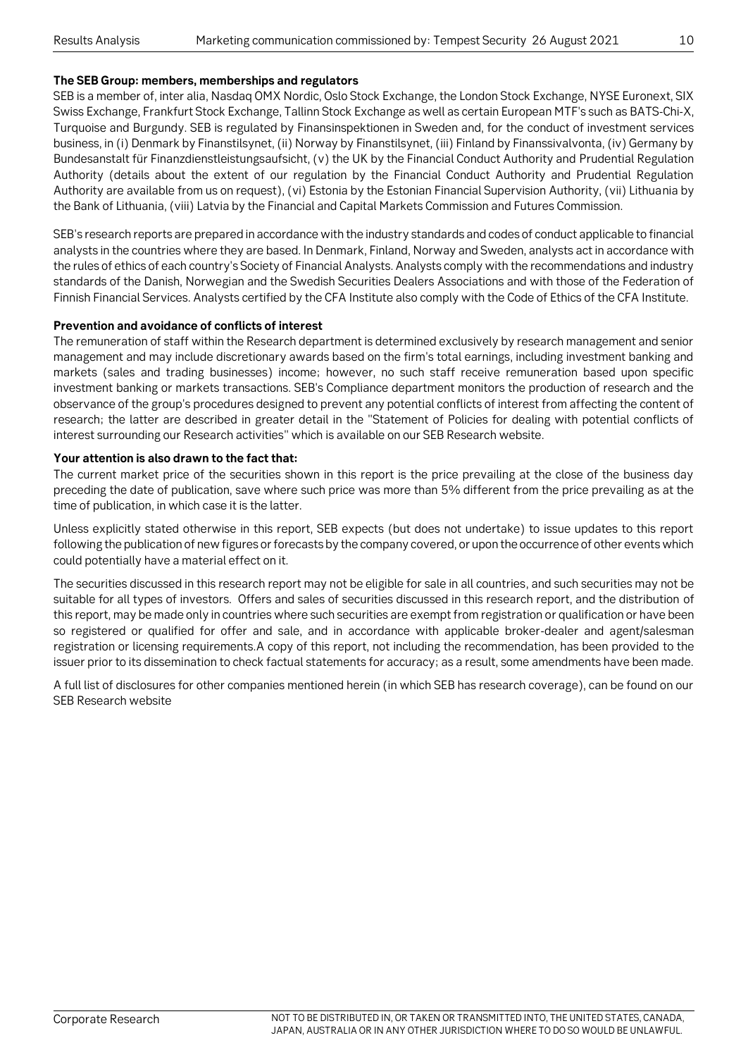#### **The SEB Group: members, memberships and regulators**

SEB is a member of, inter alia, Nasdaq OMX Nordic, Oslo Stock Exchange, the London Stock Exchange, NYSE Euronext, SIX Swiss Exchange, Frankfurt Stock Exchange, Tallinn Stock Exchange as well as certain European MTF's such as BATS-Chi-X, Turquoise and Burgundy. SEB is regulated by Finansinspektionen in Sweden and, for the conduct of investment services business, in (i) Denmark by Finanstilsynet, (ii) Norway by Finanstilsynet, (iii) Finland by Finanssivalvonta, (iv) Germany by Bundesanstalt für Finanzdienstleistungsaufsicht, (v) the UK by the Financial Conduct Authority and Prudential Regulation Authority (details about the extent of our regulation by the Financial Conduct Authority and Prudential Regulation Authority are available from us on request), (vi) Estonia by the Estonian Financial Supervision Authority, (vii) Lithuania by the Bank of Lithuania, (viii) Latvia by the Financial and Capital Markets Commission and Futures Commission.

SEB's research reports are prepared in accordance with the industry standards and codes of conduct applicable to financial analysts in the countries where they are based. In Denmark, Finland, Norway and Sweden, analysts act in accordance with the rules of ethics of each country's Society of Financial Analysts. Analysts comply with the recommendations and industry standards of the Danish, Norwegian and the Swedish Securities Dealers Associations and with those of the Federation of Finnish Financial Services. Analysts certified by the CFA Institute also comply with the Code of Ethics of the CFA Institute.

#### **Prevention and avoidance of conflicts of interest**

The remuneration of staff within the Research department is determined exclusively by research management and senior management and may include discretionary awards based on the firm's total earnings, including investment banking and markets (sales and trading businesses) income; however, no such staff receive remuneration based upon specific investment banking or markets transactions. SEB's Compliance department monitors the production of research and the observance of the group's procedures designed to prevent any potential conflicts of interest from affecting the content of research; the latter are described in greater detail in the "Statement of Policies for dealing with potential conflicts of interest surrounding our Research activities" which is available on our SEB Research website.

#### **Your attention is also drawn to the fact that:**

The current market price of the securities shown in this report is the price prevailing at the close of the business day preceding the date of publication, save where such price was more than 5% different from the price prevailing as at the time of publication, in which case it is the latter.

Unless explicitly stated otherwise in this report, SEB expects (but does not undertake) to issue updates to this report following the publication of new figures or forecasts by the company covered, or upon the occurrence of other events which could potentially have a material effect on it.

The securities discussed in this research report may not be eligible for sale in all countries, and such securities may not be suitable for all types of investors. Offers and sales of securities discussed in this research report, and the distribution of this report, may be made only in countries where such securities are exempt from registration or qualification or have been so registered or qualified for offer and sale, and in accordance with applicable broker-dealer and agent/salesman registration or licensing requirements.A copy of this report, not including the recommendation, has been provided to the issuer prior to its dissemination to check factual statements for accuracy; as a result, some amendments have been made.

A full list of disclosures for other companies mentioned herein (in which SEB has research coverage), can be found on our SEB Research website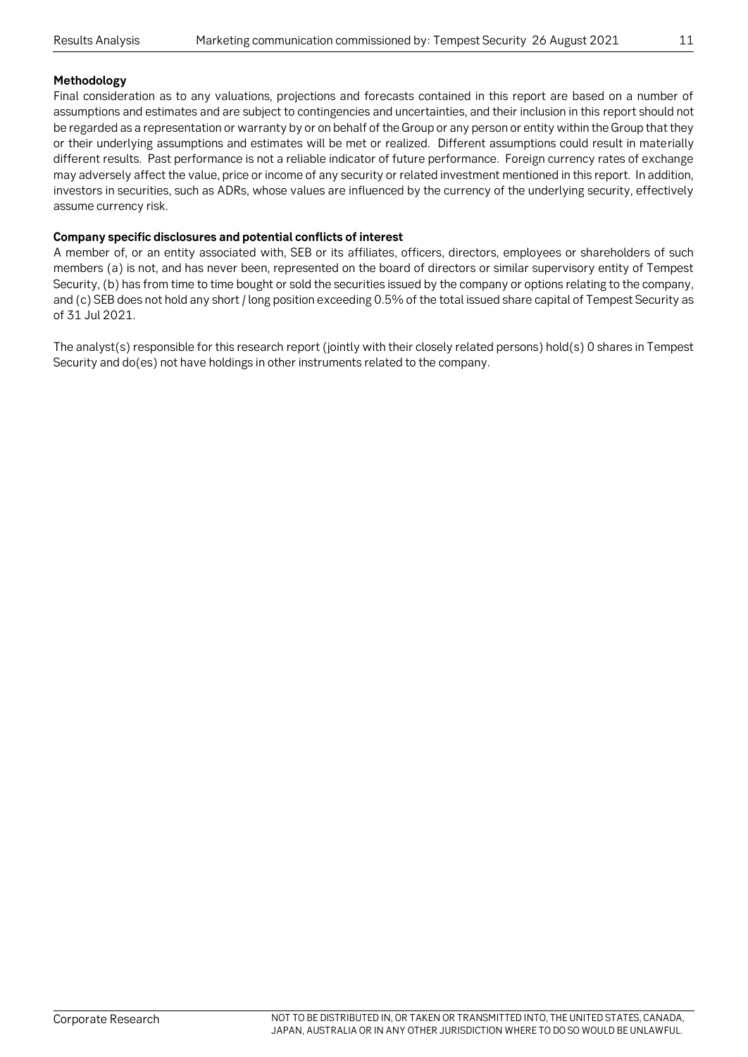#### **Methodology**

Final consideration as to any valuations, projections and forecasts contained in this report are based on a number of assumptions and estimates and are subject to contingencies and uncertainties, and their inclusion in this report should not be regarded as a representation or warranty by or on behalf of the Group or any person or entity within the Group that they or their underlying assumptions and estimates will be met or realized. Different assumptions could result in materially different results. Past performance is not a reliable indicator of future performance. Foreign currency rates of exchange may adversely affect the value, price or income of any security or related investment mentioned in this report. In addition, investors in securities, such as ADRs, whose values are influenced by the currency of the underlying security, effectively assume currency risk.

#### **Company specific disclosures and potential conflicts of interest**

A member of, or an entity associated with, SEB or its affiliates, officers, directors, employees or shareholders of such members (a) is not, and has never been, represented on the board of directors or similar supervisory entity of Tempest Security, (b) has from time to time bought or sold the securities issued by the company or options relating to the company, and (c) SEB does not hold any short / long position exceeding 0.5% of the total issued share capital of Tempest Security as of 31 Jul 2021.

The analyst(s) responsible for this research report (jointly with their closely related persons) hold(s) 0 shares in Tempest Security and do(es) not have holdings in other instruments related to the company.